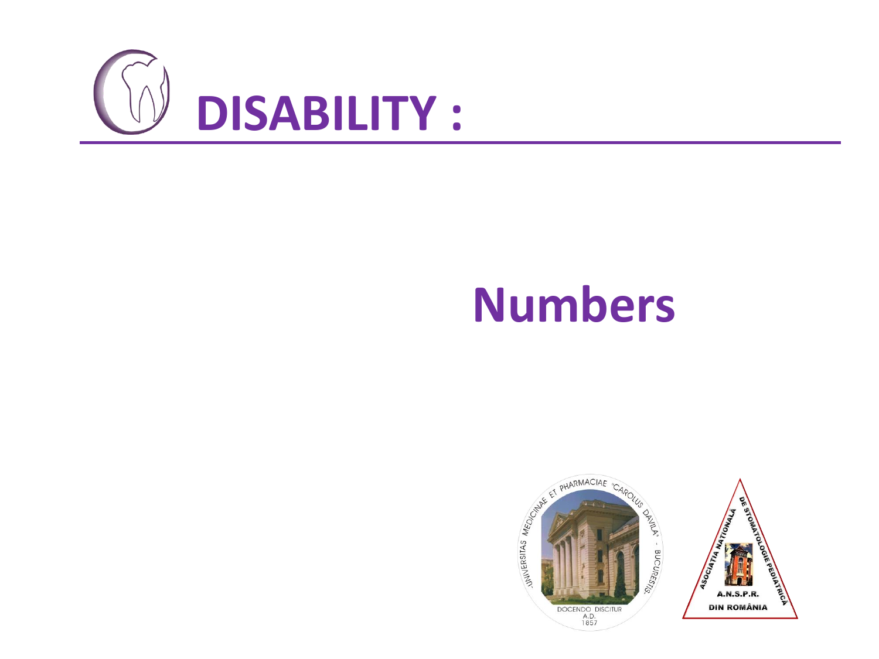

# **Numbers**

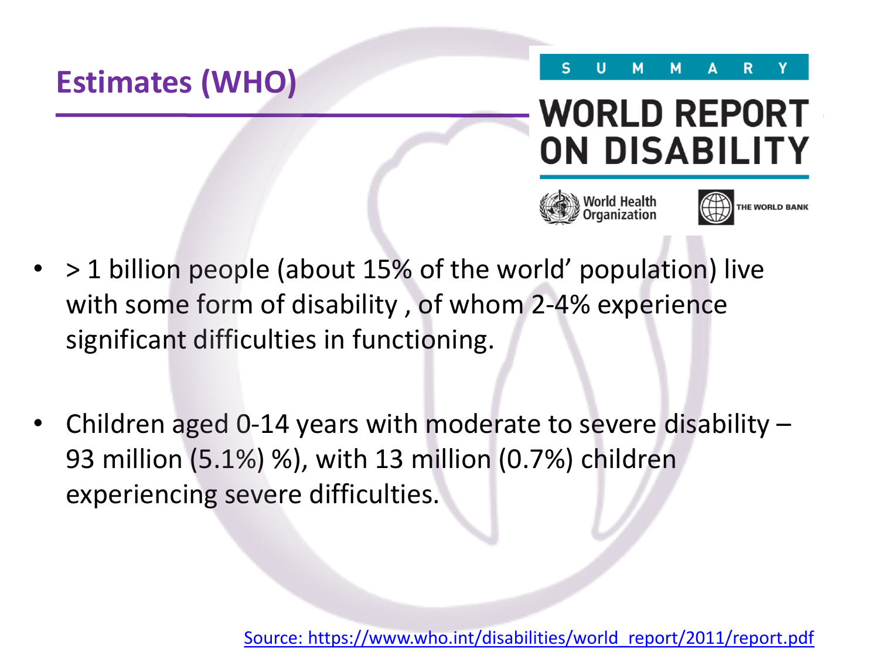

## **WORLD REPORT ON DISABILITY**





- > 1 billion people (about 15% of the world' population) live with some form of disability , of whom 2-4% experience significant difficulties in functioning.
- Children aged 0-14 years with moderate to severe disability  $-$ 93 million (5.1%) %), with 13 million (0.7%) children experiencing severe difficulties.

[Source: https://www.who.int/disabilities/world\\_report/2011/report.pdf](about:blank)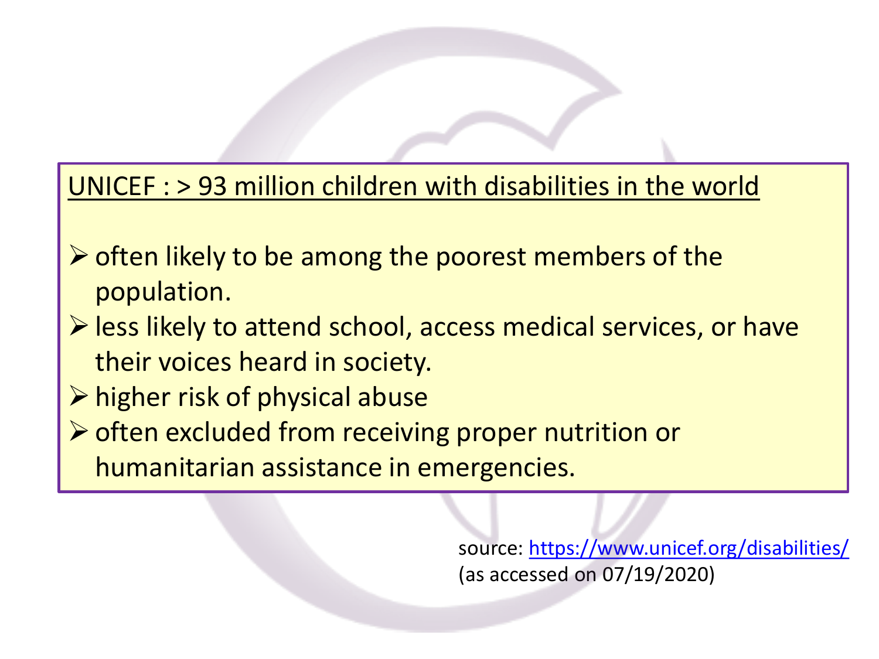#### UNICEF : > 93 million children with disabilities in the world

- $\triangleright$  often likely to be among the poorest members of the population.
- ➢less likely to attend school, access medical services, or have their voices heard in society.
- ➢higher risk of physical abuse
- ➢often excluded from receiving proper nutrition or humanitarian assistance in emergencies.

source: [https://www.unicef.org/disabilities/](about:blank) (as accessed on 07/19/2020)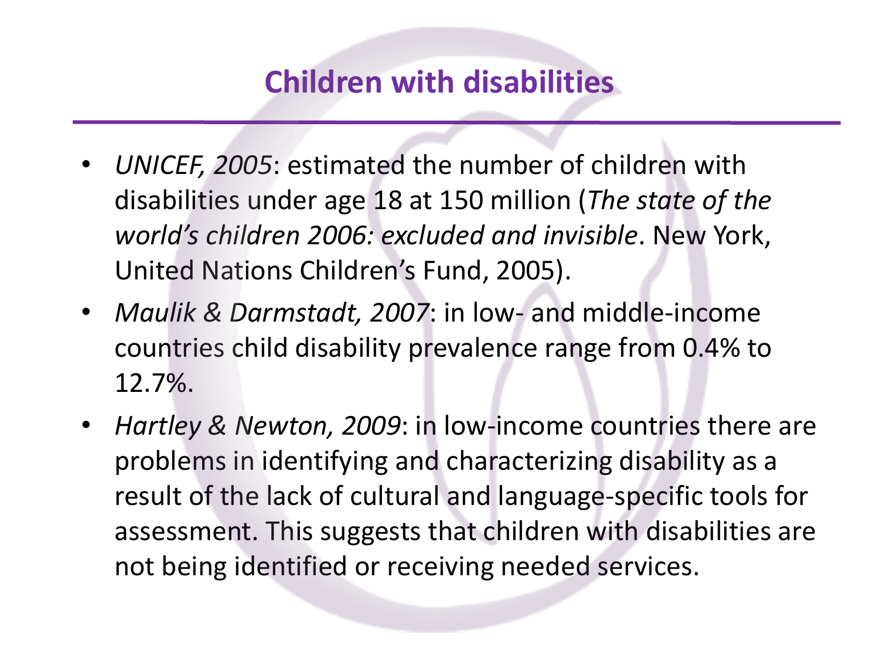### **Children with disabilities**

- *UNICEF, 2005*: estimated the number of children with disabilities under age 18 at 150 million (*The state of the world's children 2006: excluded and invisible*. New York, United Nations Children's Fund, 2005).
- *Maulik & Darmstadt, 2007*: in low- and middle-income countries child disability prevalence range from 0.4% to 12.7%.
- *Hartley & Newton, 2009*: in low-income countries there are problems in identifying and characterizing disability as a result of the lack of cultural and language-specific tools for assessment. This suggests that children with disabilities are not being identified or receiving needed services.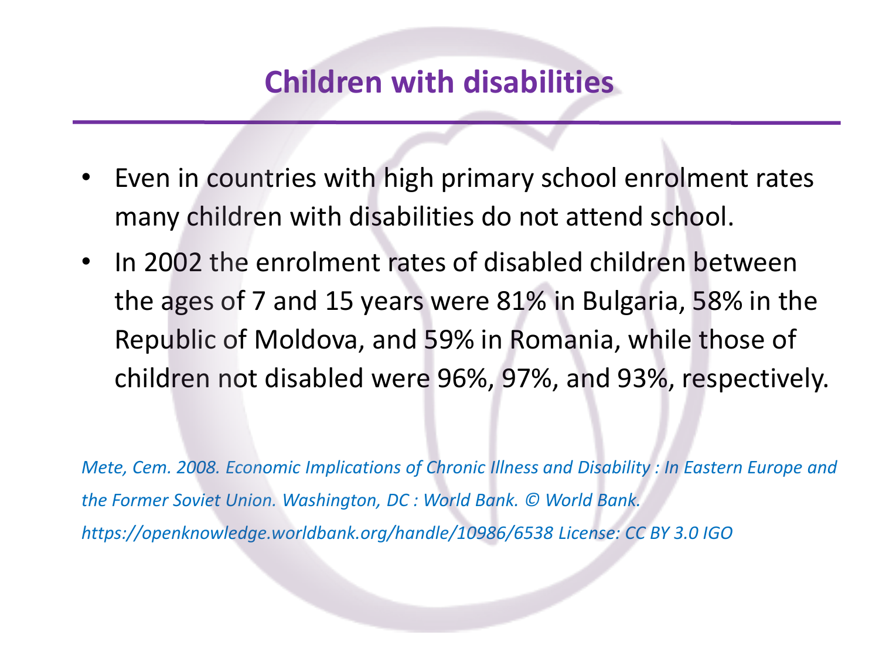### **Children with disabilities**

- Even in countries with high primary school enrolment rates many children with disabilities do not attend school.
- In 2002 the enrolment rates of disabled children between the ages of 7 and 15 years were 81% in Bulgaria, 58% in the Republic of Moldova, and 59% in Romania, while those of children not disabled were 96%, 97%, and 93%, respectively.

*Mete, Cem. 2008. Economic Implications of Chronic Illness and Disability : In Eastern Europe and the Former Soviet Union. Washington, DC : World Bank. © World Bank. https://openknowledge.worldbank.org/handle/10986/6538 License: CC BY 3.0 IGO*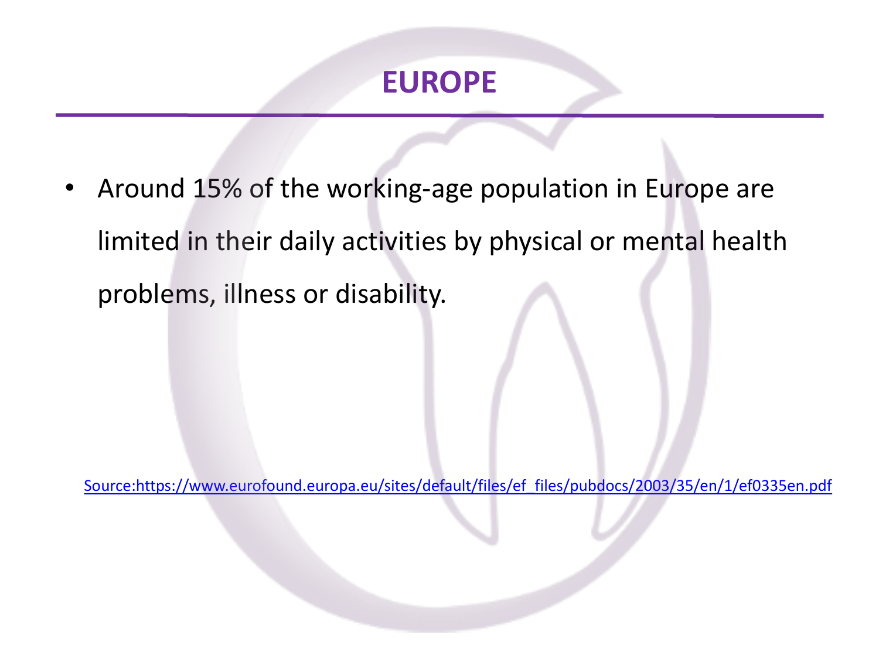#### **EUROPE**

• Around 15% of the working-age population in Europe are limited in their daily activities by physical or mental health problems, illness or disability.

[Source:https://www.eurofound.europa.eu/sites/default/files/ef\\_files/pubdocs/2003/35/en/1/ef0335en.pdf](about:blank)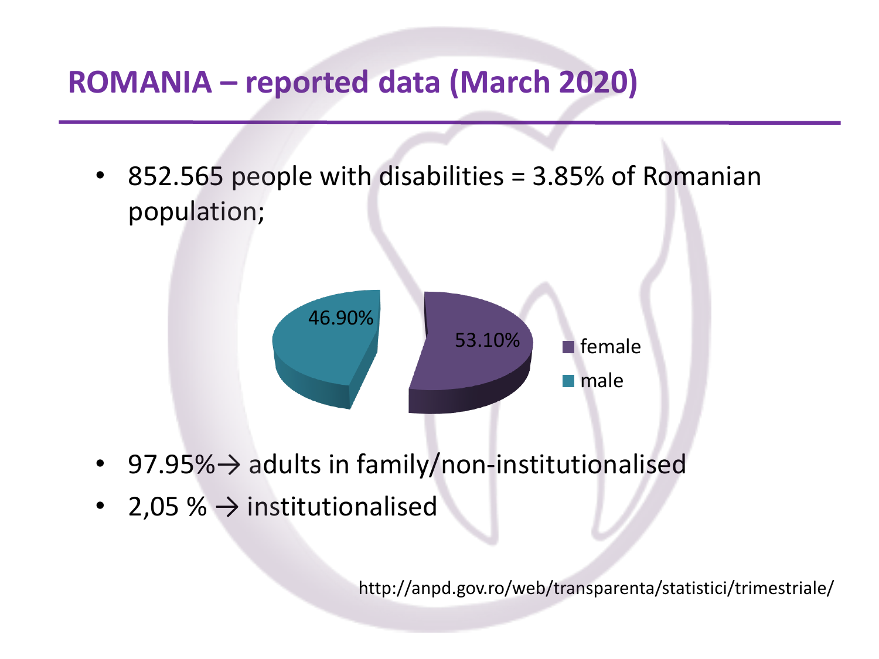### **ROMANIA – reported data (March 2020)**

• 852.565 people with disabilities = 3.85% of Romanian population;



- 97.95%→ adults in family/non-institutionalised
- 2,05 %  $\rightarrow$  institutionalised

http://anpd.gov.ro/web/transparenta/statistici/trimestriale/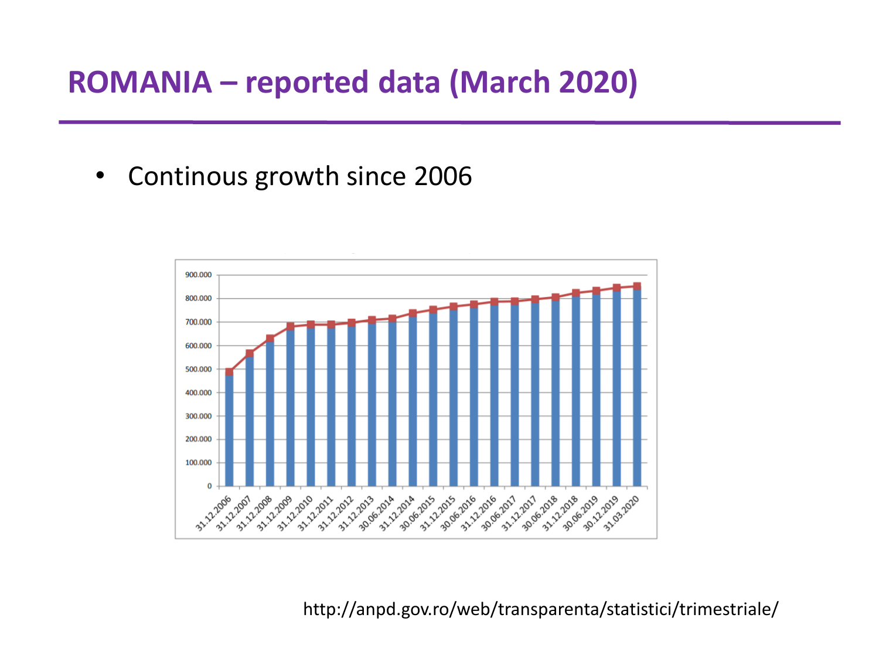### **ROMANIA – reported data (March 2020)**

• Continous growth since 2006



http://anpd.gov.ro/web/transparenta/statistici/trimestriale/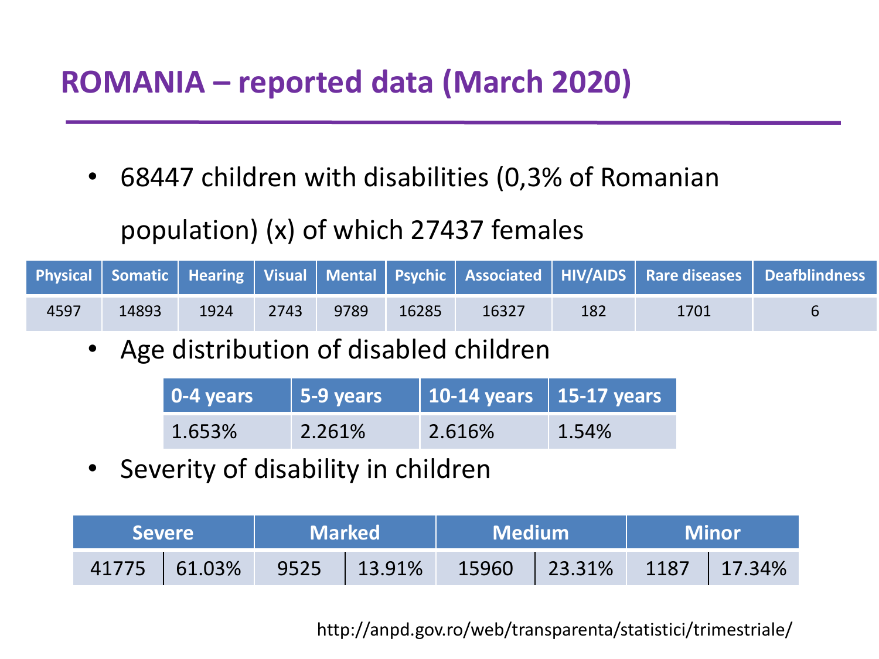### **ROMANIA – reported data (March 2020)**

• 68447 children with disabilities (0,3% of Romanian

#### population) (x) of which 27437 females

|      |       |      |      |      |       |       |     |      | <b>Physical Somatic   Hearing   Visual   Mental   Psychic   Associated   HIV/AIDS   Rare diseases   Deafblindness</b> |
|------|-------|------|------|------|-------|-------|-----|------|-----------------------------------------------------------------------------------------------------------------------|
| 4597 | 14893 | 1924 | 2743 | 9789 | 16285 | 16327 | 182 | 1701 |                                                                                                                       |

Age distribution of disabled children

| $\sqrt{0.4 \text{ years}}$ | 5-9 years | 10-14 years   15-17 years |          |
|----------------------------|-----------|---------------------------|----------|
| 1.653%                     | 2.261%    | 2.616%                    | $1.54\%$ |

Severity of disability in children

| <b>Severe</b>      | <b>Marked</b>                                                                                                           | $\blacksquare$ Medium $\blacksquare$ | <b>Minor</b> |  |
|--------------------|-------------------------------------------------------------------------------------------------------------------------|--------------------------------------|--------------|--|
| $ 41775  61.03\% $ | $\begin{array}{ c c c c c c c c c } \hline \text{ } & \text{ } 9525 & \text{ }   & \text{ } 13.91\% \hline \end{array}$ | $15960$   23.31%   1187   17.34%     |              |  |

#### http://anpd.gov.ro/web/transparenta/statistici/trimestriale/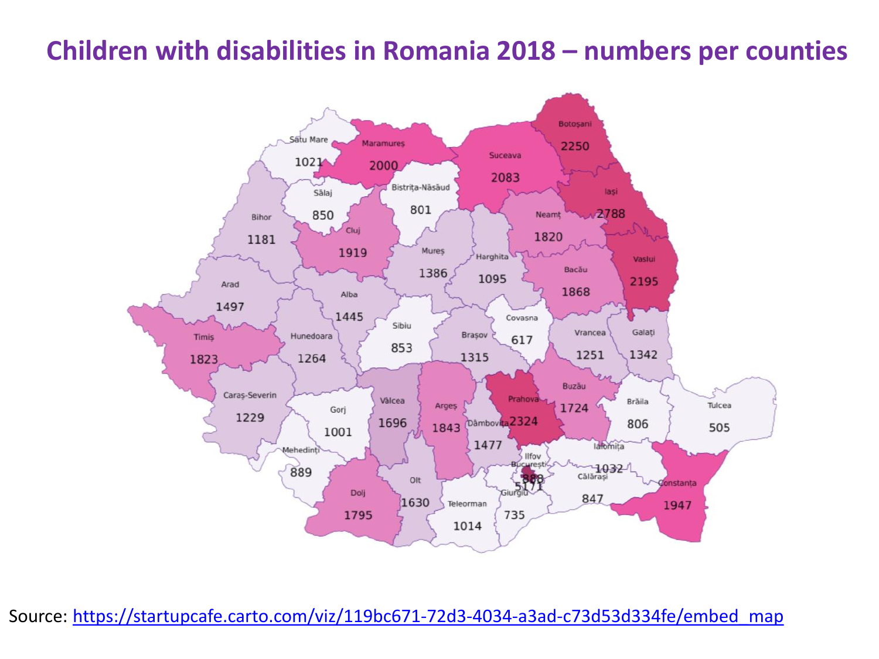#### **Children with disabilities in Romania 2018 – numbers per counties**



Source: [https://startupcafe.carto.com/viz/119bc671-72d3-4034-a3ad-c73d53d334fe/embed\\_map](about:blank)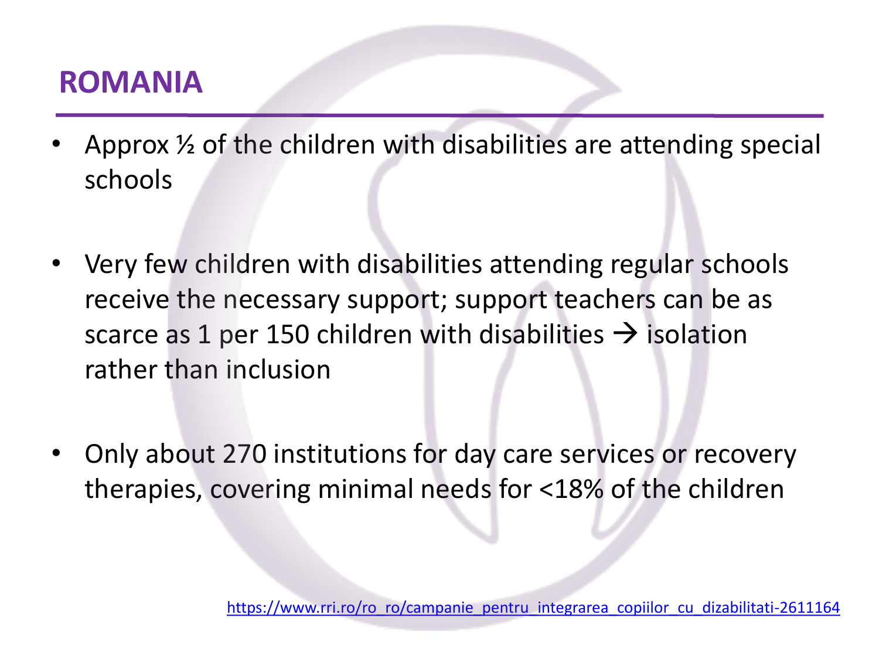### **ROMANIA**

- Approx  $\frac{1}{2}$  of the children with disabilities are attending special schools
- Very few children with disabilities attending regular schools receive the necessary support; support teachers can be as scarce as 1 per 150 children with disabilities  $\rightarrow$  isolation rather than inclusion
- Only about 270 institutions for day care services or recovery therapies, covering minimal needs for <18% of the children

[https://www.rri.ro/ro\\_ro/campanie\\_pentru\\_integrarea\\_copiilor\\_cu\\_dizabilitati-2611164](about:blank)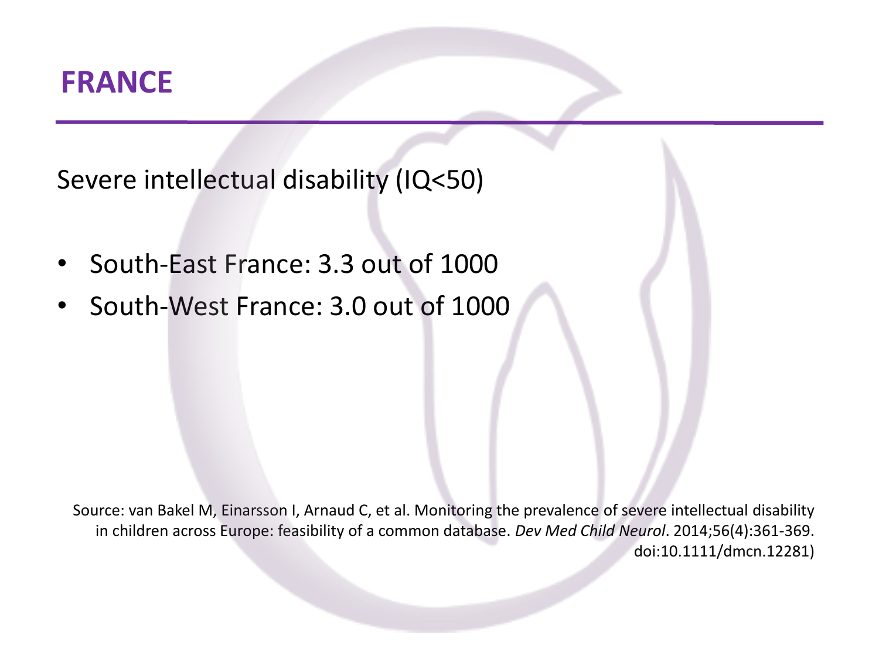#### **FRANCE**

Severe intellectual disability (IQ<50)

- South-East France: 3.3 out of 1000
- South-West France: 3.0 out of 1000

Source: van Bakel M, Einarsson I, Arnaud C, et al. Monitoring the prevalence of severe intellectual disability in children across Europe: feasibility of a common database. *Dev Med Child Neurol*. 2014;56(4):361‐369. doi:10.1111/dmcn.12281)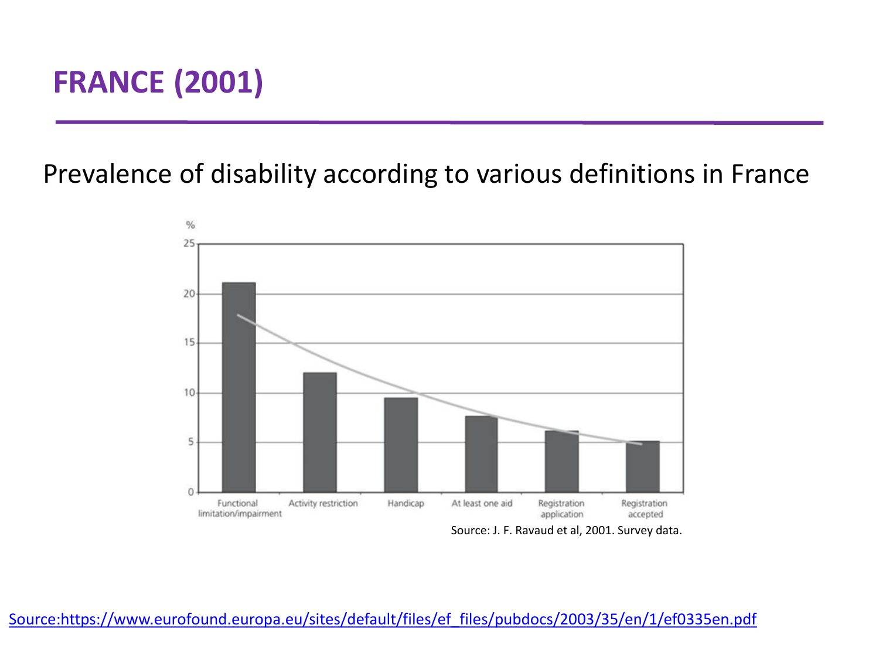## **FRANCE (2001)**

Prevalence of disability according to various definitions in France



Source: J. F. Ravaud et al, 2001. Survey data.

[Source:https://www.eurofound.europa.eu/sites/default/files/ef\\_files/pubdocs/2003/35/en/1/ef0335en.pdf](about:blank)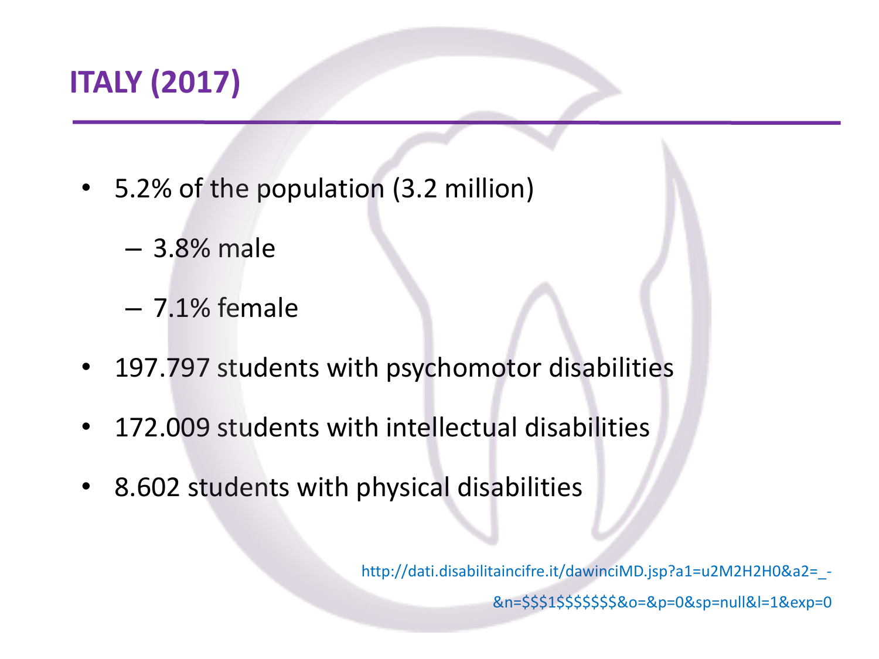### **ITALY (2017)**

- 5.2% of the population (3.2 million)
	- 3.8% male
	- 7.1% female
- 197.797 students with psychomotor disabilities
- 172.009 students with intellectual disabilities
- 8.602 students with physical disabilities

http://dati.disabilitaincifre.it/dawinciMD.jsp?a1=u2M2H2H0&a2= -&n=\$\$\$1\$\$\$\$\$\$\$&o=&p=0&sp=null&l=1&exp=0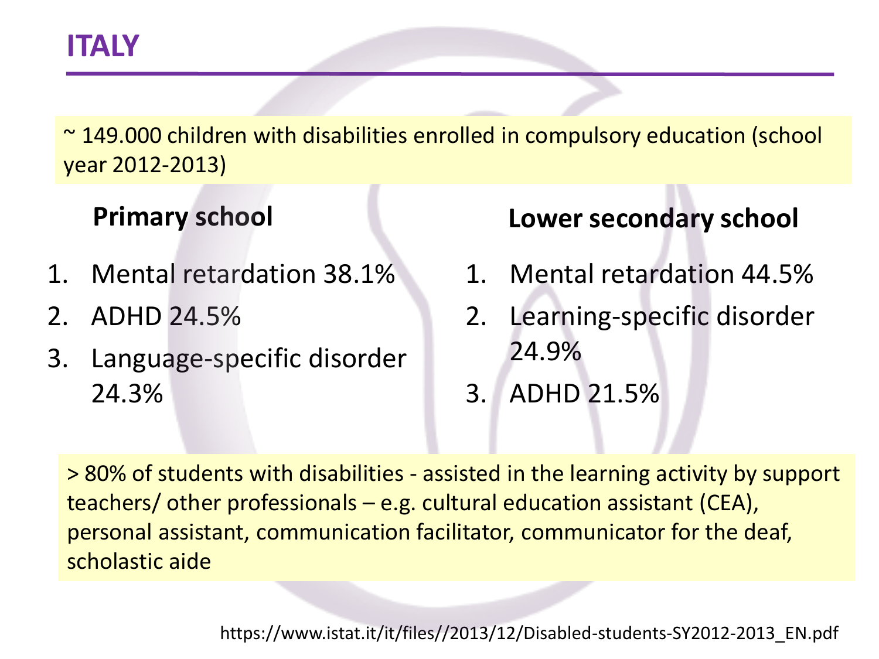~ 149.000 children with disabilities enrolled in compulsory education (school year 2012-2013)

#### **Primary school**

- 1. Mental retardation 38.1%
- 2. ADHD 24.5%
- 3. Language-specific disorder 24.3%

#### **Lower secondary school**

- 1. Mental retardation 44.5%
- 2. Learning-specific disorder 24.9%
- 3. ADHD 21.5%

> 80% of students with disabilities - assisted in the learning activity by support teachers/ other professionals – e.g. cultural education assistant (CEA), personal assistant, communication facilitator, communicator for the deaf, scholastic aide

https://www.istat.it/it/files//2013/12/Disabled-students-SY2012-2013\_EN.pdf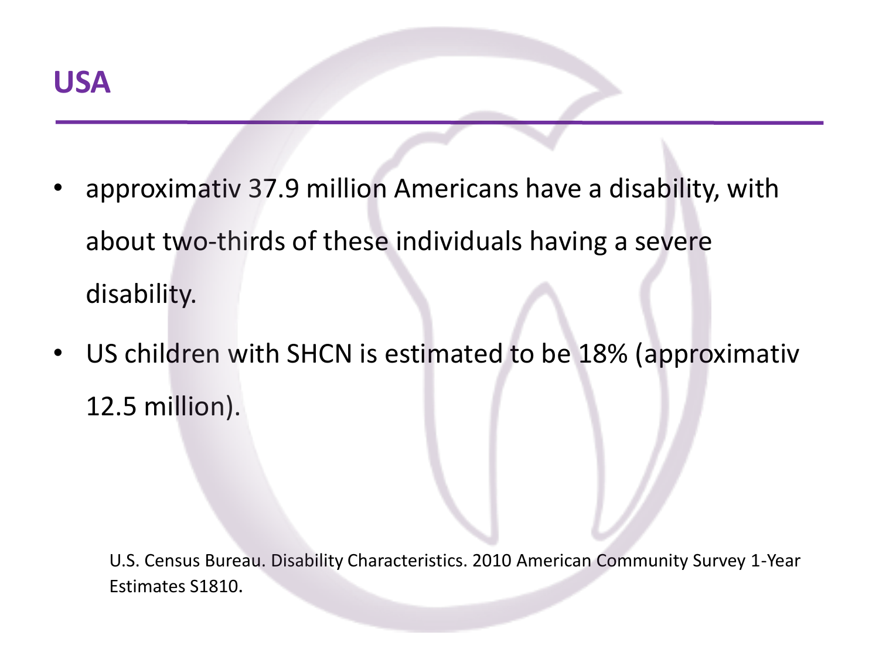- approximativ 37.9 million Americans have a disability, with about two-thirds of these individuals having a severe disability.
- US children with SHCN is estimated to be 18% (approximativ 12.5 million).

U.S. Census Bureau. Disability Characteristics. 2010 American Community Survey 1-Year Estimates S1810.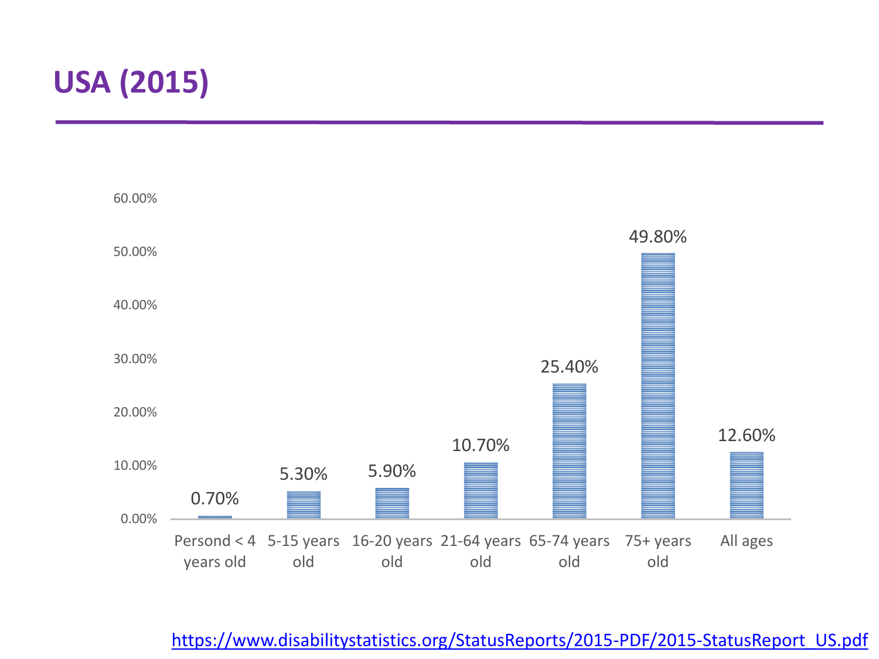## **USA (2015)**



[https://www.disabilitystatistics.org/StatusReports/2015-PDF/2015-StatusReport\\_US.pdf](about:blank)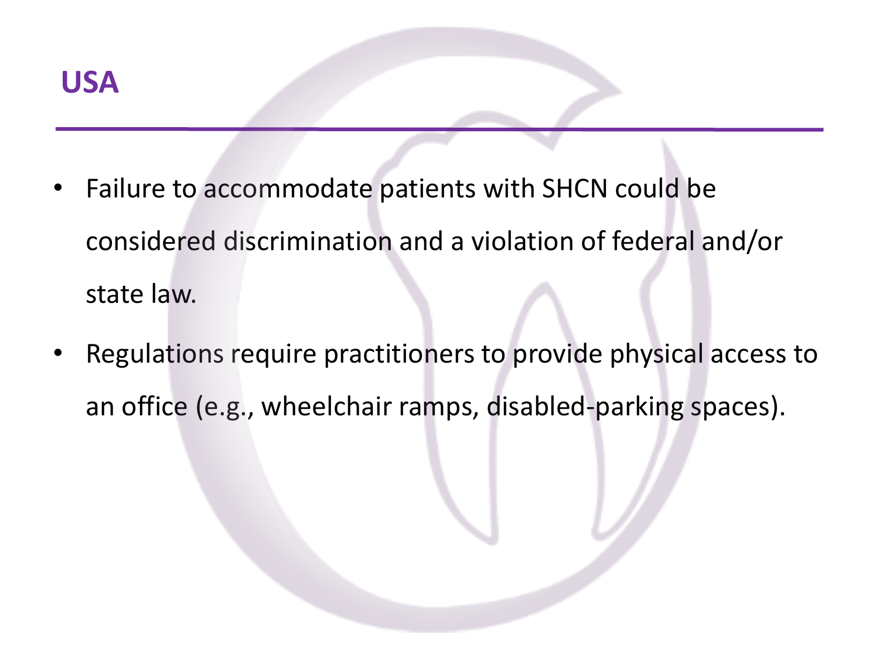- Failure to accommodate patients with SHCN could be considered discrimination and a violation of federal and/or state law.
- Regulations require practitioners to provide physical access to an office (e.g., wheelchair ramps, disabled-parking spaces).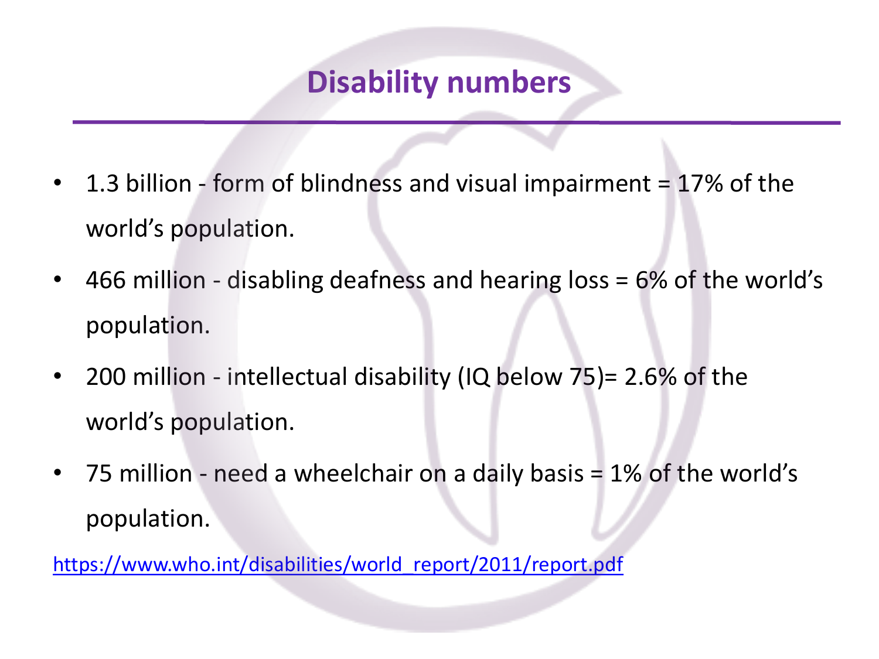### **Disability numbers**

- 1.3 billion form of blindness and visual impairment = 17% of the world's population.
- 466 million disabling deafness and hearing loss = 6% of the world's population.
- 200 million intellectual disability (IQ below 75)= 2.6% of the world's population.
- 75 million need a wheelchair on a daily basis = 1% of the world's population.

[https://www.who.int/disabilities/world\\_report/2011/report.pdf](https://www.who.int/disabilities/world_report/2011/report.pdf)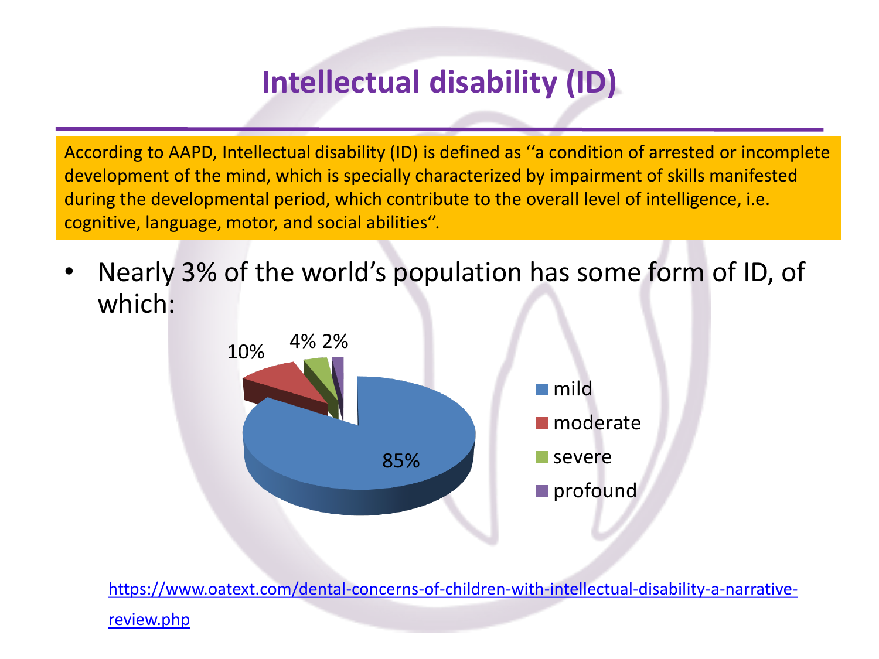## **Intellectual disability (ID)**

According to AAPD, Intellectual disability (ID) is defined as ''a condition of arrested or incomplete development of the mind, which is specially characterized by impairment of skills manifested during the developmental period, which contribute to the overall level of intelligence, i.e. cognitive, language, motor, and social abilities''.

• Nearly 3% of the world's population has some form of ID, of which:



[https://www.oatext.com/dental-concerns-of-children-with-intellectual-disability-a-narrative-](about:blank)

#### review.php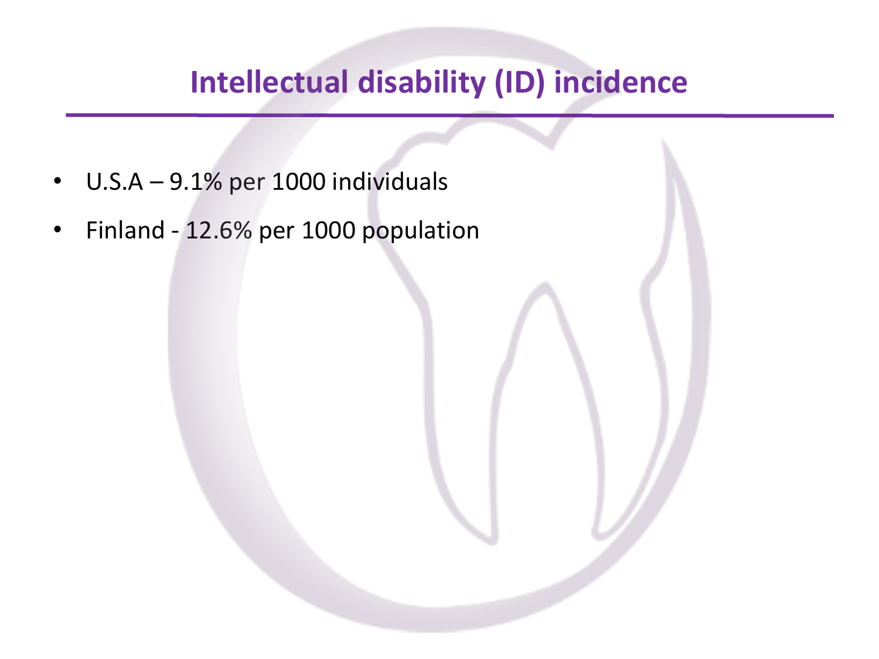### **Intellectual disability (ID) incidence**

- U.S.A 9.1% per 1000 individuals
- Finland 12.6% per 1000 population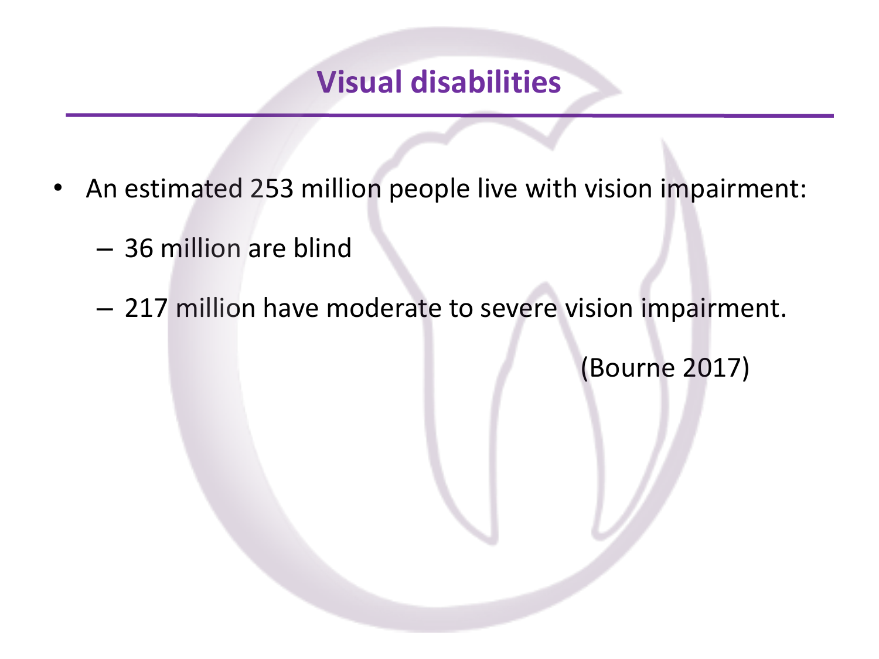#### **Visual disabilities**

- An estimated 253 million people live with vision impairment:
	- 36 million are blind
	- 217 million have moderate to severe vision impairment.

(Bourne 2017)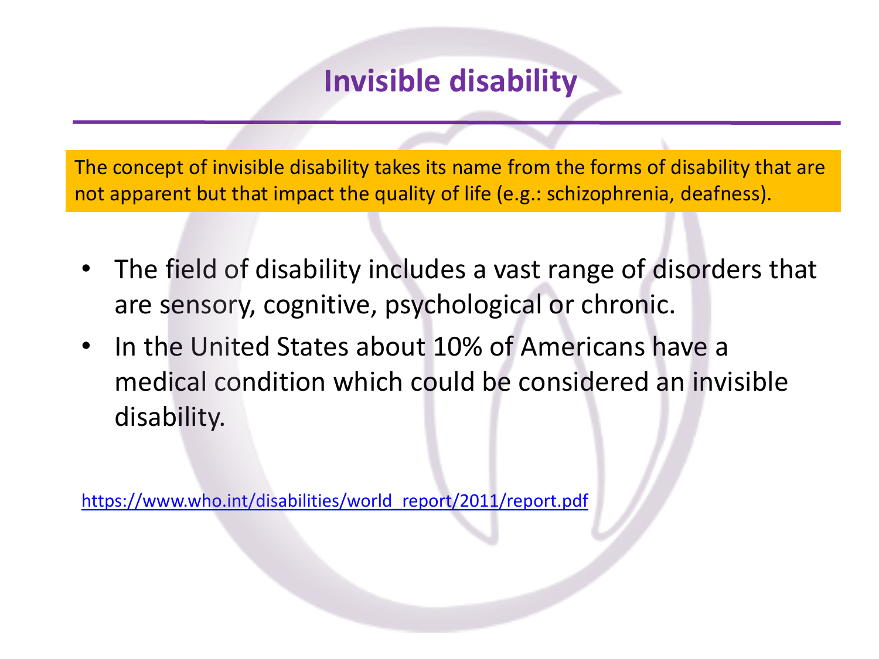### **Invisible disability**

The concept of invisible disability takes its name from the forms of disability that are not apparent but that impact the quality of life (e.g.: schizophrenia, deafness).

- The field of disability includes a vast range of disorders that are sensory, cognitive, psychological or chronic.
- In the United States about 10% of Americans have a medical condition which could be considered an invisible disability.

[https://www.who.int/disabilities/world\\_report/2011/report.pdf](https://www.who.int/disabilities/world_report/2011/report.pdf)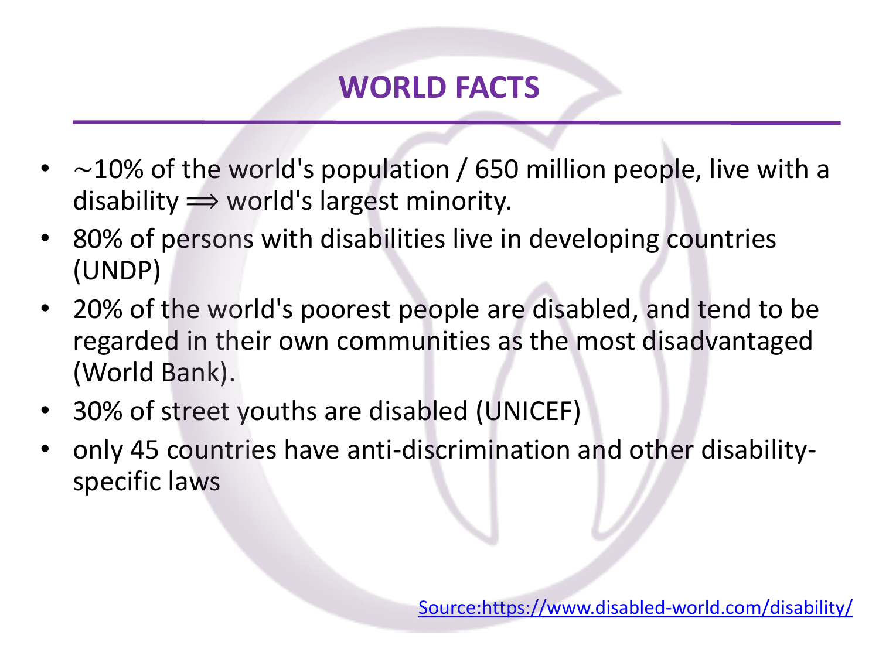- $\sim$  10% of the world's population / 650 million people, live with a disability  $\Rightarrow$  world's largest minority.
- 80% of persons with disabilities live in developing countries (UNDP)
- 20% of the world's poorest people are disabled, and tend to be regarded in their own communities as the most disadvantaged (World Bank).
- 30% of street youths are disabled (UNICEF)
- only 45 countries have anti-discrimination and other disabilityspecific laws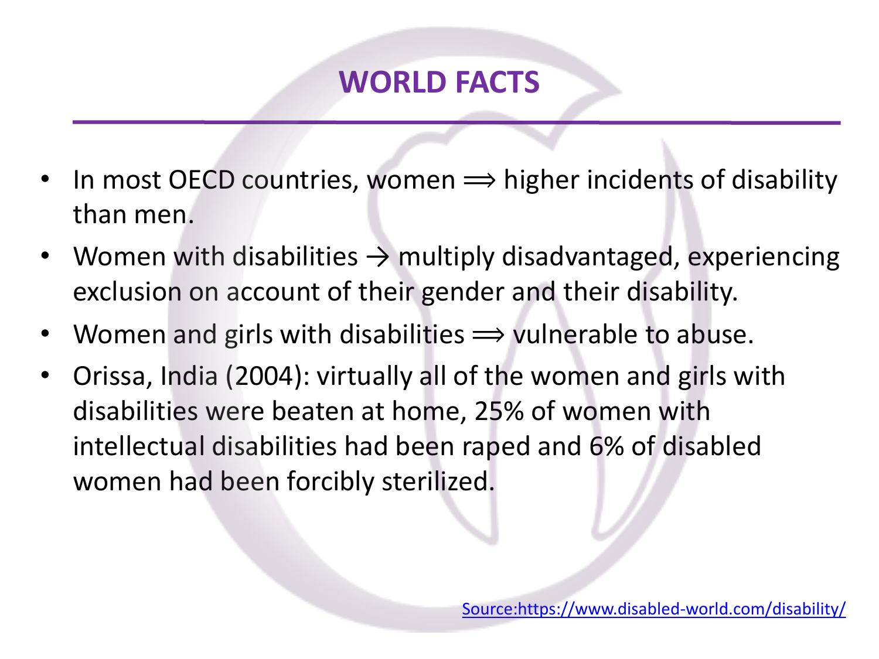- In most OECD countries, women  $\implies$  higher incidents of disability than men.
- Women with disabilities  $\rightarrow$  multiply disadvantaged, experiencing exclusion on account of their gender and their disability.
- Women and girls with disabilities  $\Rightarrow$  vulnerable to abuse.
- Orissa, India (2004): virtually all of the women and girls with disabilities were beaten at home, 25% of women with intellectual disabilities had been raped and 6% of disabled women had been forcibly sterilized.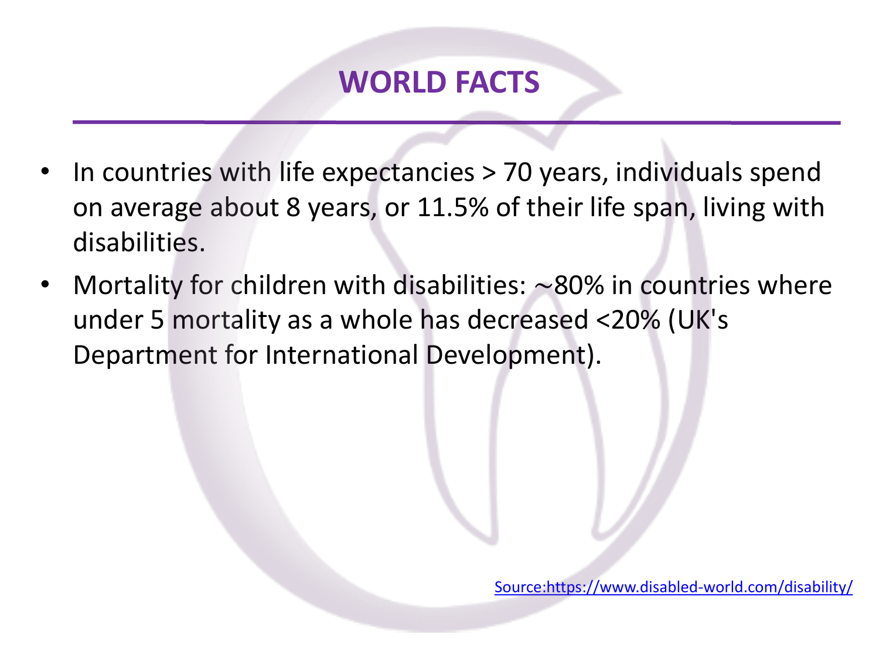- In countries with life expectancies > 70 years, individuals spend on average about 8 years, or 11.5% of their life span, living with disabilities.
- Mortality for children with disabilities: ∼80% in countries where under 5 mortality as a whole has decreased <20% (UK's Department for International Development).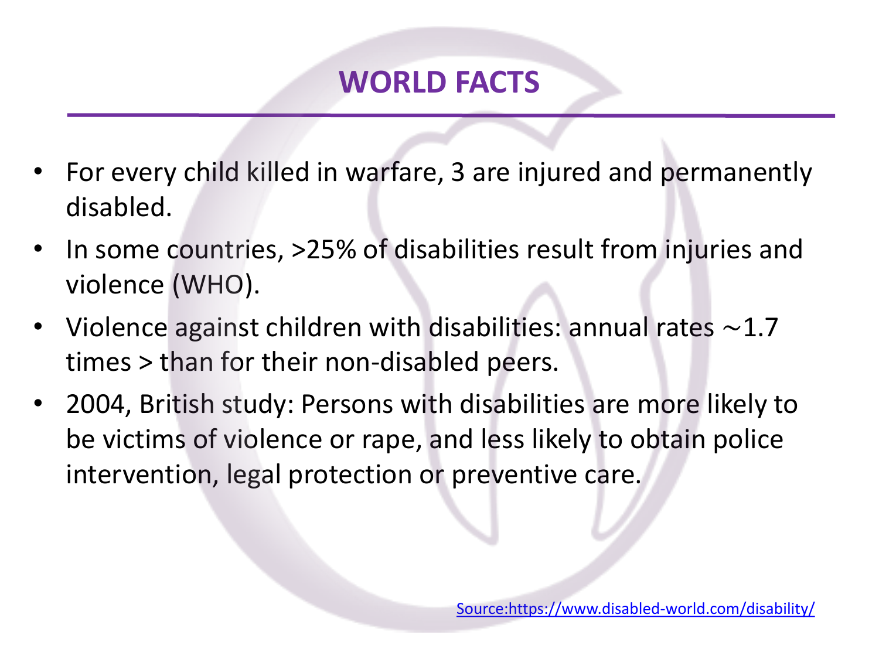- For every child killed in warfare, 3 are injured and permanently disabled.
- In some countries, >25% of disabilities result from injuries and violence (WHO).
- Violence against children with disabilities: annual rates ∼1.7 times > than for their non-disabled peers.
- 2004, British study: Persons with disabilities are more likely to be victims of violence or rape, and less likely to obtain police intervention, legal protection or preventive care.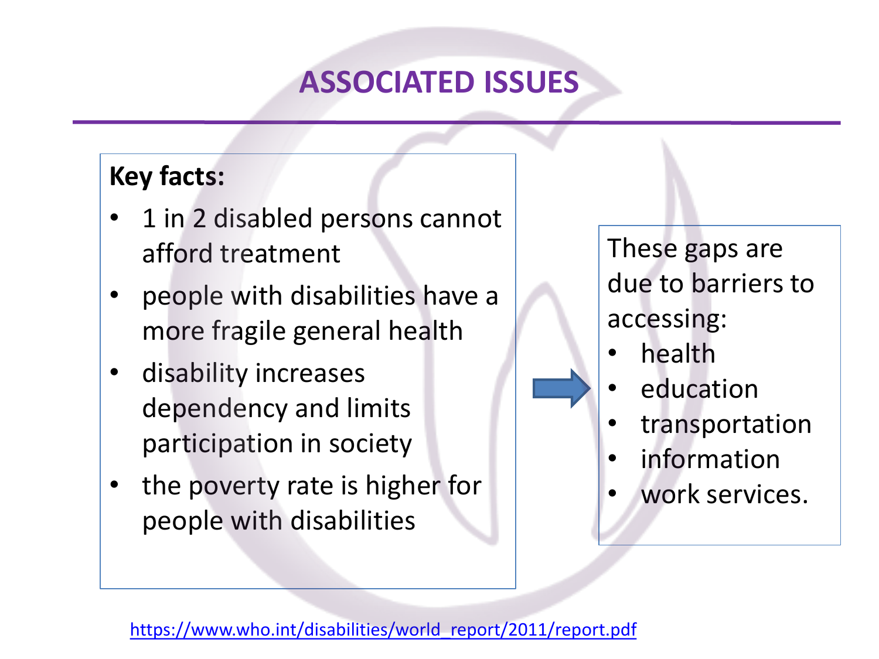### **ASSOCIATED ISSUES**

#### **Key facts:**

- 1 in 2 disabled persons cannot afford treatment
- people with disabilities have a more fragile general health
- disability increases dependency and limits participation in society
- the poverty rate is higher for people with disabilities

These gaps are due to barriers to accessing:

- health
- education
- transportation
- **information**
- work services.

[https://www.who.int/disabilities/world\\_report/2011/report.pdf](https://www.who.int/disabilities/world_report/2011/report.pdf)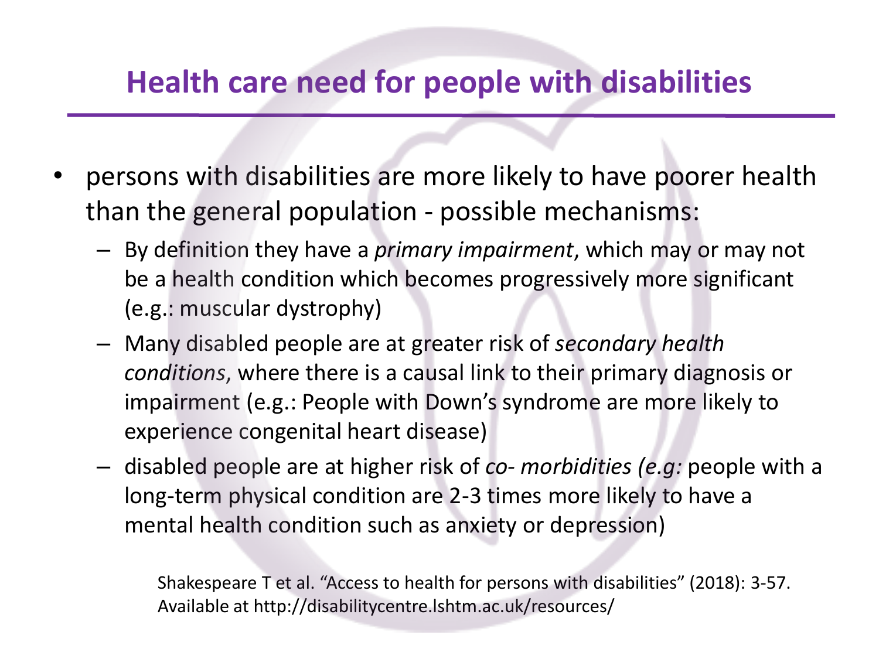#### **Health care need for people with disabilities**

- persons with disabilities are more likely to have poorer health than the general population - possible mechanisms:
	- By definition they have a *primary impairment*, which may or may not be a health condition which becomes progressively more significant (e.g.: muscular dystrophy)
	- Many disabled people are at greater risk of *secondary health conditions*, where there is a causal link to their primary diagnosis or impairment (e.g.: People with Down's syndrome are more likely to experience congenital heart disease)
	- disabled people are at higher risk of *co- morbidities (e.g:* people with a long-term physical condition are 2-3 times more likely to have a mental health condition such as anxiety or depression)

Shakespeare T et al. "Access to health for persons with disabilities" (2018): 3-57. Available at http://disabilitycentre.lshtm.ac.uk/resources/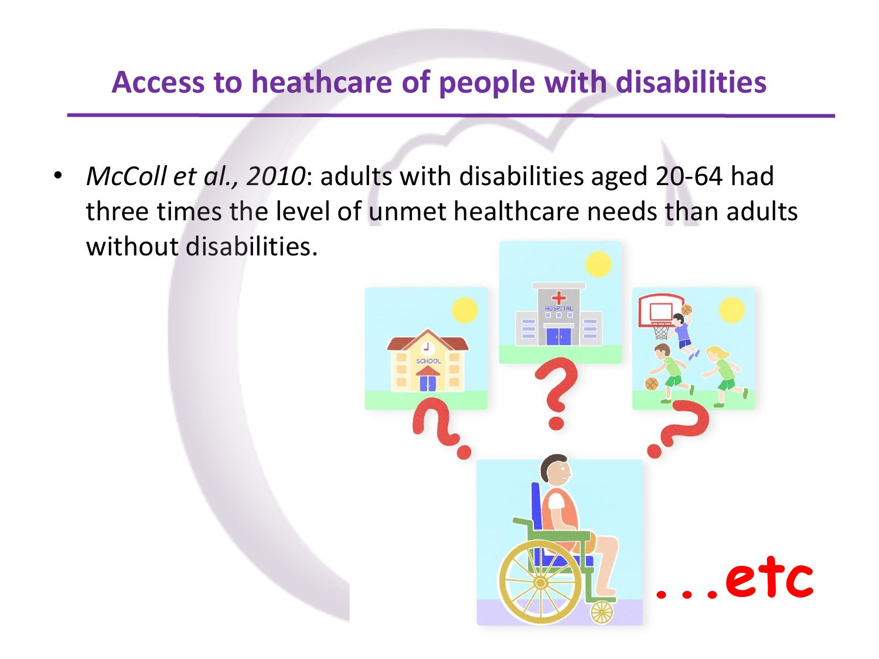### **Access to heathcare of people with disabilities**

• *McColl et al., 2010*: adults with disabilities aged 20-64 had three times the level of unmet healthcare needs than adults without disabilities.

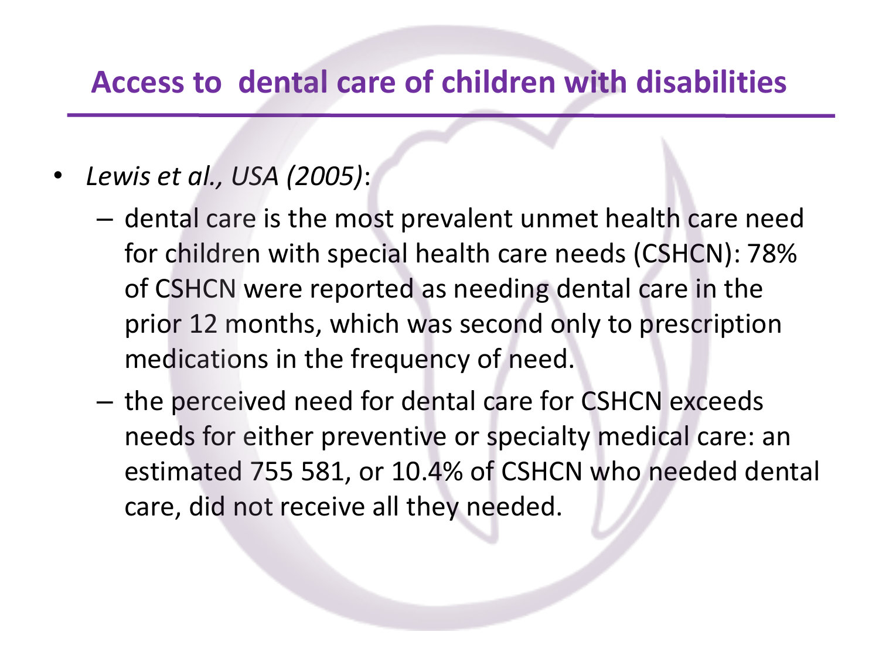#### **Access to dental care of children with disabilities**

- *Lewis et al., USA (2005)*:
	- dental care is the most prevalent unmet health care need for children with special health care needs (CSHCN): 78% of CSHCN were reported as needing dental care in the prior 12 months, which was second only to prescription medications in the frequency of need.
	- the perceived need for dental care for CSHCN exceeds needs for either preventive or specialty medical care: an estimated 755 581, or 10.4% of CSHCN who needed dental care, did not receive all they needed.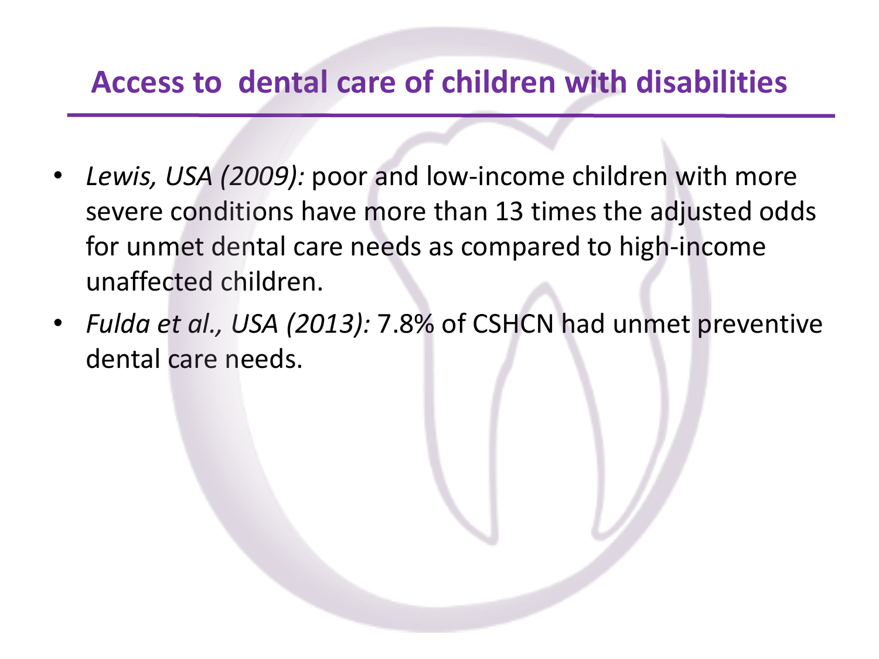### **Access to dental care of children with disabilities**

- *Lewis, USA (2009):* poor and low-income children with more severe conditions have more than 13 times the adjusted odds for unmet dental care needs as compared to high-income unaffected children.
- *Fulda et al., USA (2013):* 7.8% of CSHCN had unmet preventive dental care needs.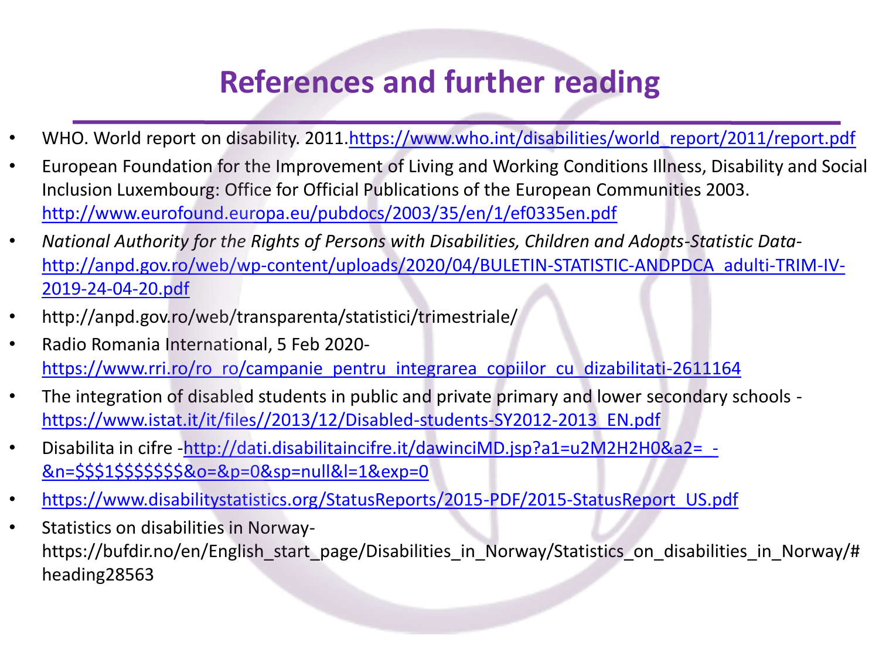### **References and further reading**

- WHO. World report on disability. 2011.[https://www.who.int/disabilities/world\\_report/2011/report.pdf](about:blank)
- European Foundation for the Improvement of Living and Working Conditions Illness, Disability and Social Inclusion Luxembourg: Office for Official Publications of the European Communities 2003. [http://www.eurofound.europa.eu/pubdocs/2003/35/en/1/ef0335en.pdf](about:blank)
- *National Authority for the Rights of Persons with Disabilities, Children and Adopts-Statistic Data*[http://anpd.gov.ro/web/wp-content/uploads/2020/04/BULETIN-STATISTIC-ANDPDCA\\_adulti-TRIM-IV-](about:blank)2019-24-04-20.pdf
- http://anpd.gov.ro/web/transparenta/statistici/trimestriale/
- Radio Romania International, 5 Feb 2020 [https://www.rri.ro/ro\\_ro/campanie\\_pentru\\_integrarea\\_copiilor\\_cu\\_dizabilitati-2611164](about:blank)
- The integration of disabled students in public and private primary and lower secondary schools [https://www.istat.it/it/files//2013/12/Disabled-students-SY2012-2013\\_EN.pdf](about:blank)
- Disabilita in cifre -http://dati.disabilitaincifre.it/dawinciMD.jsp?a1=u2M2H2H0&a2= -&n=\$\$\$1\$\$\$\$\$\$\$&o=&p=0&sp=null&l=1&exp=0
- [https://www.disabilitystatistics.org/StatusReports/2015-PDF/2015-StatusReport\\_US.pdf](about:blank)
- Statistics on disabilities in Norwayhttps://bufdir.no/en/English\_start\_page/Disabilities\_in\_Norway/Statistics\_on\_disabilities\_in\_Norway/# heading28563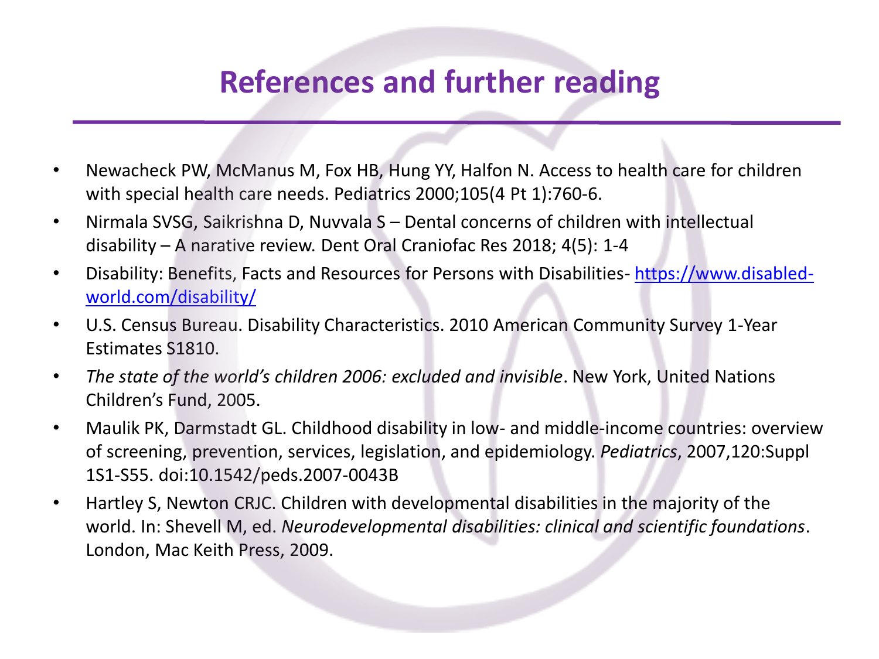### **References and further reading**

- Newacheck PW, McManus M, Fox HB, Hung YY, Halfon N. Access to health care for children with special health care needs. Pediatrics 2000;105(4 Pt 1):760-6.
- Nirmala SVSG, Saikrishna D, Nuvvala S Dental concerns of children with intellectual disability – A narative review. Dent Oral Craniofac Res 2018; 4(5): 1-4
- [Disability: Benefits, Facts and Resources for Persons with Disabilities-](about:blank) https://www.disabledworld.com/disability/
- U.S. Census Bureau. Disability Characteristics. 2010 American Community Survey 1-Year Estimates S1810.
- *The state of the world's children 2006: excluded and invisible*. New York, United Nations Children's Fund, 2005.
- Maulik PK, Darmstadt GL. Childhood disability in low- and middle-income countries: overview of screening, prevention, services, legislation, and epidemiology. *Pediatrics*, 2007,120:Suppl 1S1-S55. doi:10.1542/peds.2007-0043B
- Hartley S, Newton CRJC. Children with developmental disabilities in the majority of the world. In: Shevell M, ed. *Neurodevelopmental disabilities: clinical and scientific foundations*. London, Mac Keith Press, 2009.